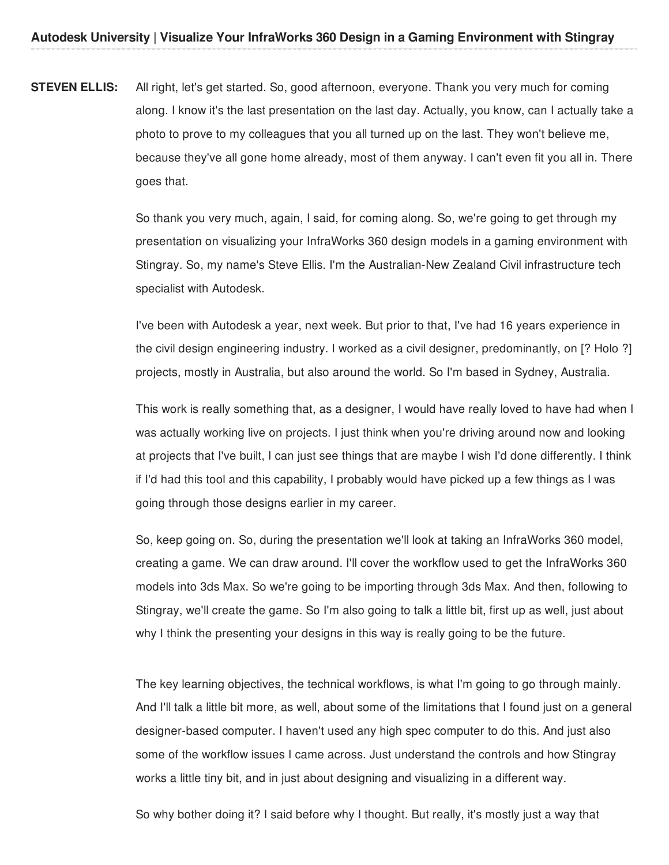**STEVEN ELLIS:** All right, let's get started. So, good afternoon, everyone. Thank you very much for coming along. I know it's the last presentation on the last day. Actually, you know, can I actually take a photo to prove to my colleagues that you all turned up on the last. They won't believe me, because they've all gone home already, most of them anyway. I can't even fit you all in. There goes that.

> So thank you very much, again, I said, for coming along. So, we're going to get through my presentation on visualizing your InfraWorks 360 design models in a gaming environment with Stingray. So, my name's Steve Ellis. I'm the Australian-New Zealand Civil infrastructure tech specialist with Autodesk.

> I've been with Autodesk a year, next week. But prior to that, I've had 16 years experience in the civil design engineering industry. I worked as a civil designer, predominantly, on [? Holo ?] projects, mostly in Australia, but also around the world. So I'm based in Sydney, Australia.

> This work is really something that, as a designer, I would have really loved to have had when I was actually working live on projects. I just think when you're driving around now and looking at projects that I've built, I can just see things that are maybe I wish I'd done differently. I think if I'd had this tool and this capability, I probably would have picked up a few things as I was going through those designs earlier in my career.

So, keep going on. So, during the presentation we'll look at taking an InfraWorks 360 model, creating a game. We can draw around. I'll cover the workflow used to get the InfraWorks 360 models into 3ds Max. So we're going to be importing through 3ds Max. And then, following to Stingray, we'll create the game. So I'm also going to talk a little bit, first up as well, just about why I think the presenting your designs in this way is really going to be the future.

The key learning objectives, the technical workflows, is what I'm going to go through mainly. And I'll talk a little bit more, as well, about some of the limitations that I found just on a general designer-based computer. I haven't used any high spec computer to do this. And just also some of the workflow issues I came across. Just understand the controls and how Stingray works a little tiny bit, and in just about designing and visualizing in a different way.

So why bother doing it? I said before why I thought. But really, it's mostly just a way that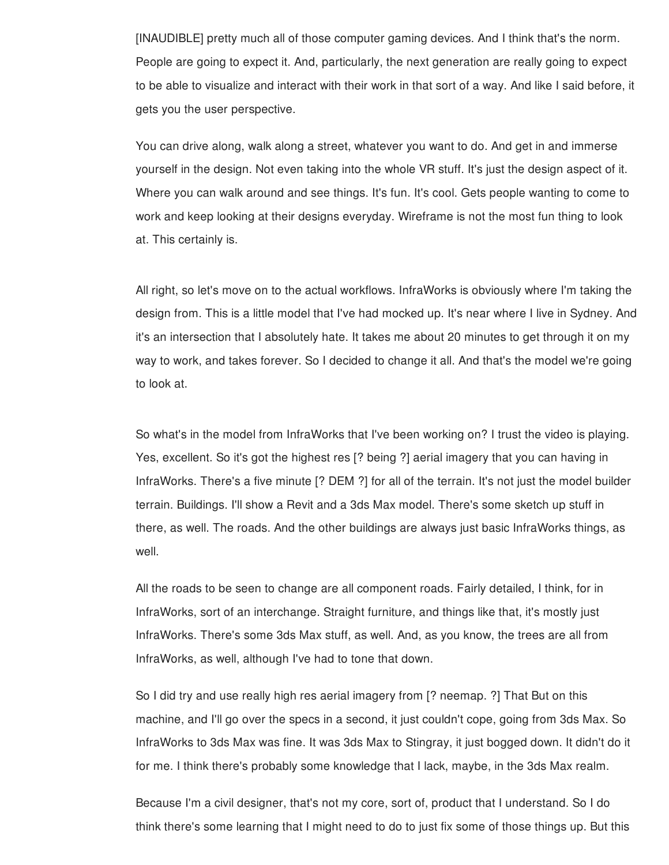[INAUDIBLE] pretty much all of those computer gaming devices. And I think that's the norm. People are going to expect it. And, particularly, the next generation are really going to expect to be able to visualize and interact with their work in that sort of a way. And like I said before, it gets you the user perspective.

You can drive along, walk along a street, whatever you want to do. And get in and immerse yourself in the design. Not even taking into the whole VR stuff. It's just the design aspect of it. Where you can walk around and see things. It's fun. It's cool. Gets people wanting to come to work and keep looking at their designs everyday. Wireframe is not the most fun thing to look at. This certainly is.

All right, so let's move on to the actual workflows. InfraWorks is obviously where I'm taking the design from. This is a little model that I've had mocked up. It's near where I live in Sydney. And it's an intersection that I absolutely hate. It takes me about 20 minutes to get through it on my way to work, and takes forever. So I decided to change it all. And that's the model we're going to look at.

So what's in the model from InfraWorks that I've been working on? I trust the video is playing. Yes, excellent. So it's got the highest res [? being ?] aerial imagery that you can having in InfraWorks. There's a five minute [? DEM ?] for all of the terrain. It's not just the model builder terrain. Buildings. I'll show a Revit and a 3ds Max model. There's some sketch up stuff in there, as well. The roads. And the other buildings are always just basic InfraWorks things, as well.

All the roads to be seen to change are all component roads. Fairly detailed, I think, for in InfraWorks, sort of an interchange. Straight furniture, and things like that, it's mostly just InfraWorks. There's some 3ds Max stuff, as well. And, as you know, the trees are all from InfraWorks, as well, although I've had to tone that down.

So I did try and use really high res aerial imagery from [? neemap. ?] That But on this machine, and I'll go over the specs in a second, it just couldn't cope, going from 3ds Max. So InfraWorks to 3ds Max was fine. It was 3ds Max to Stingray, it just bogged down. It didn't do it for me. I think there's probably some knowledge that I lack, maybe, in the 3ds Max realm.

Because I'm a civil designer, that's not my core, sort of, product that I understand. So I do think there's some learning that I might need to do to just fix some of those things up. But this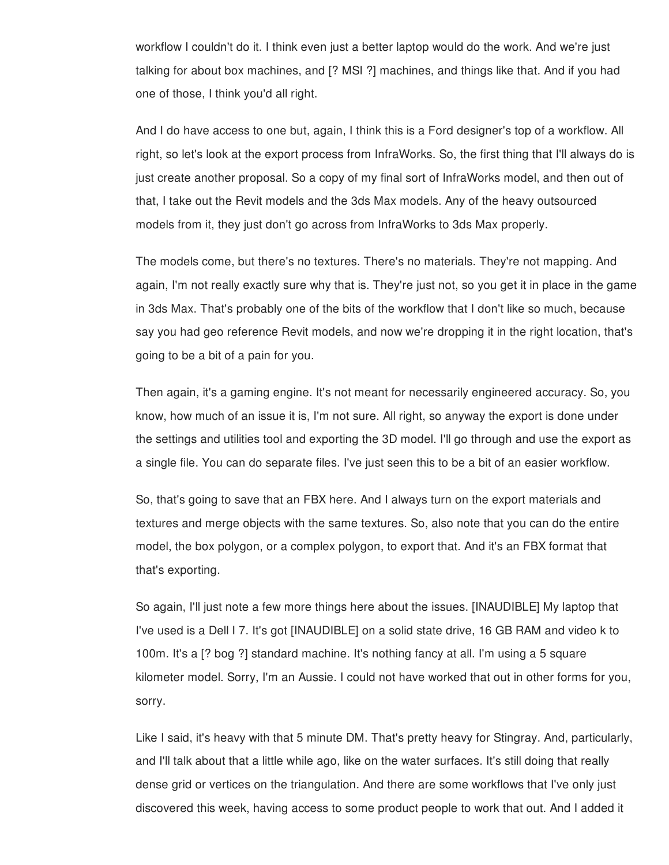workflow I couldn't do it. I think even just a better laptop would do the work. And we're just talking for about box machines, and [? MSI ?] machines, and things like that. And if you had one of those, I think you'd all right.

And I do have access to one but, again, I think this is a Ford designer's top of a workflow. All right, so let's look at the export process from InfraWorks. So, the first thing that I'll always do is just create another proposal. So a copy of my final sort of InfraWorks model, and then out of that, I take out the Revit models and the 3ds Max models. Any of the heavy outsourced models from it, they just don't go across from InfraWorks to 3ds Max properly.

The models come, but there's no textures. There's no materials. They're not mapping. And again, I'm not really exactly sure why that is. They're just not, so you get it in place in the game in 3ds Max. That's probably one of the bits of the workflow that I don't like so much, because say you had geo reference Revit models, and now we're dropping it in the right location, that's going to be a bit of a pain for you.

Then again, it's a gaming engine. It's not meant for necessarily engineered accuracy. So, you know, how much of an issue it is, I'm not sure. All right, so anyway the export is done under the settings and utilities tool and exporting the 3D model. I'll go through and use the export as a single file. You can do separate files. I've just seen this to be a bit of an easier workflow.

So, that's going to save that an FBX here. And I always turn on the export materials and textures and merge objects with the same textures. So, also note that you can do the entire model, the box polygon, or a complex polygon, to export that. And it's an FBX format that that's exporting.

So again, I'll just note a few more things here about the issues. [INAUDIBLE] My laptop that I've used is a Dell I 7. It's got [INAUDIBLE] on a solid state drive, 16 GB RAM and video k to 100m. It's a [? bog ?] standard machine. It's nothing fancy at all. I'm using a 5 square kilometer model. Sorry, I'm an Aussie. I could not have worked that out in other forms for you, sorry.

Like I said, it's heavy with that 5 minute DM. That's pretty heavy for Stingray. And, particularly, and I'll talk about that a little while ago, like on the water surfaces. It's still doing that really dense grid or vertices on the triangulation. And there are some workflows that I've only just discovered this week, having access to some product people to work that out. And I added it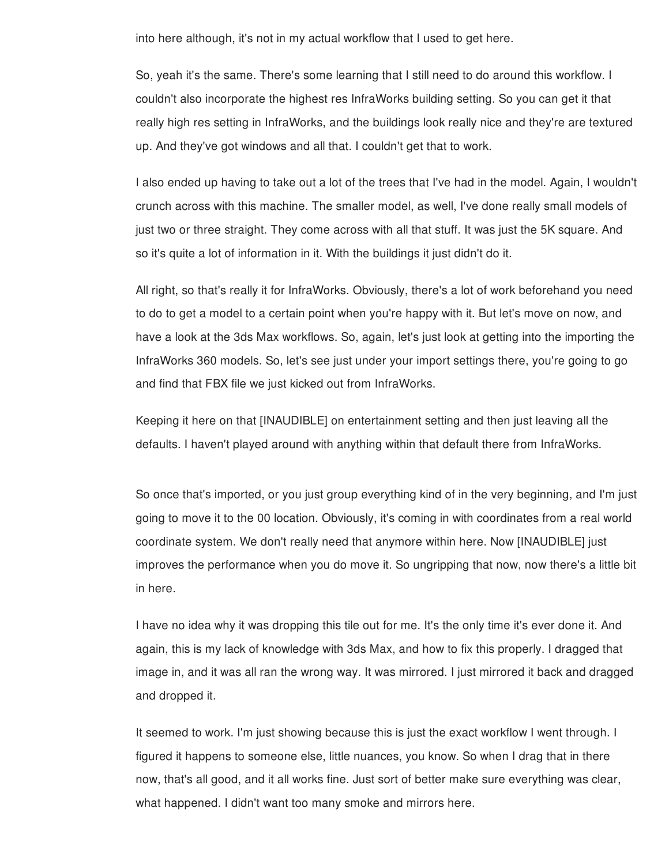into here although, it's not in my actual workflow that I used to get here.

So, yeah it's the same. There's some learning that I still need to do around this workflow. I couldn't also incorporate the highest res InfraWorks building setting. So you can get it that really high res setting in InfraWorks, and the buildings look really nice and they're are textured up. And they've got windows and all that. I couldn't get that to work.

I also ended up having to take out a lot of the trees that I've had in the model. Again, I wouldn't crunch across with this machine. The smaller model, as well, I've done really small models of just two or three straight. They come across with all that stuff. It was just the 5K square. And so it's quite a lot of information in it. With the buildings it just didn't do it.

All right, so that's really it for InfraWorks. Obviously, there's a lot of work beforehand you need to do to get a model to a certain point when you're happy with it. But let's move on now, and have a look at the 3ds Max workflows. So, again, let's just look at getting into the importing the InfraWorks 360 models. So, let's see just under your import settings there, you're going to go and find that FBX file we just kicked out from InfraWorks.

Keeping it here on that [INAUDIBLE] on entertainment setting and then just leaving all the defaults. I haven't played around with anything within that default there from InfraWorks.

So once that's imported, or you just group everything kind of in the very beginning, and I'm just going to move it to the 00 location. Obviously, it's coming in with coordinates from a real world coordinate system. We don't really need that anymore within here. Now [INAUDIBLE] just improves the performance when you do move it. So ungripping that now, now there's a little bit in here.

I have no idea why it was dropping this tile out for me. It's the only time it's ever done it. And again, this is my lack of knowledge with 3ds Max, and how to fix this properly. I dragged that image in, and it was all ran the wrong way. It was mirrored. I just mirrored it back and dragged and dropped it.

It seemed to work. I'm just showing because this is just the exact workflow I went through. I figured it happens to someone else, little nuances, you know. So when I drag that in there now, that's all good, and it all works fine. Just sort of better make sure everything was clear, what happened. I didn't want too many smoke and mirrors here.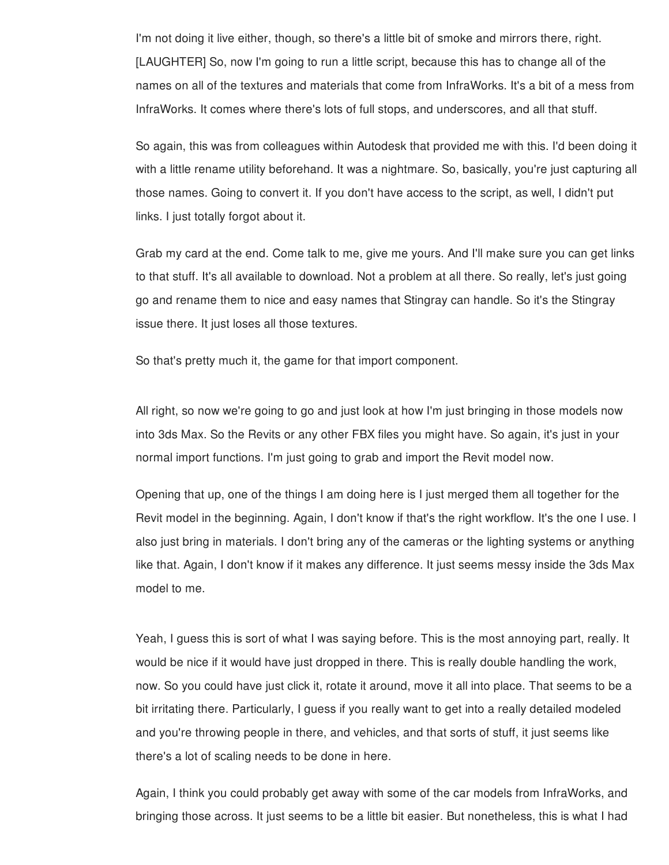I'm not doing it live either, though, so there's a little bit of smoke and mirrors there, right. [LAUGHTER] So, now I'm going to run a little script, because this has to change all of the names on all of the textures and materials that come from InfraWorks. It's a bit of a mess from InfraWorks. It comes where there's lots of full stops, and underscores, and all that stuff.

So again, this was from colleagues within Autodesk that provided me with this. I'd been doing it with a little rename utility beforehand. It was a nightmare. So, basically, you're just capturing all those names. Going to convert it. If you don't have access to the script, as well, I didn't put links. I just totally forgot about it.

Grab my card at the end. Come talk to me, give me yours. And I'll make sure you can get links to that stuff. It's all available to download. Not a problem at all there. So really, let's just going go and rename them to nice and easy names that Stingray can handle. So it's the Stingray issue there. It just loses all those textures.

So that's pretty much it, the game for that import component.

All right, so now we're going to go and just look at how I'm just bringing in those models now into 3ds Max. So the Revits or any other FBX files you might have. So again, it's just in your normal import functions. I'm just going to grab and import the Revit model now.

Opening that up, one of the things I am doing here is I just merged them all together for the Revit model in the beginning. Again, I don't know if that's the right workflow. It's the one I use. I also just bring in materials. I don't bring any of the cameras or the lighting systems or anything like that. Again, I don't know if it makes any difference. It just seems messy inside the 3ds Max model to me.

Yeah, I guess this is sort of what I was saying before. This is the most annoying part, really. It would be nice if it would have just dropped in there. This is really double handling the work, now. So you could have just click it, rotate it around, move it all into place. That seems to be a bit irritating there. Particularly, I guess if you really want to get into a really detailed modeled and you're throwing people in there, and vehicles, and that sorts of stuff, it just seems like there's a lot of scaling needs to be done in here.

Again, I think you could probably get away with some of the car models from InfraWorks, and bringing those across. It just seems to be a little bit easier. But nonetheless, this is what I had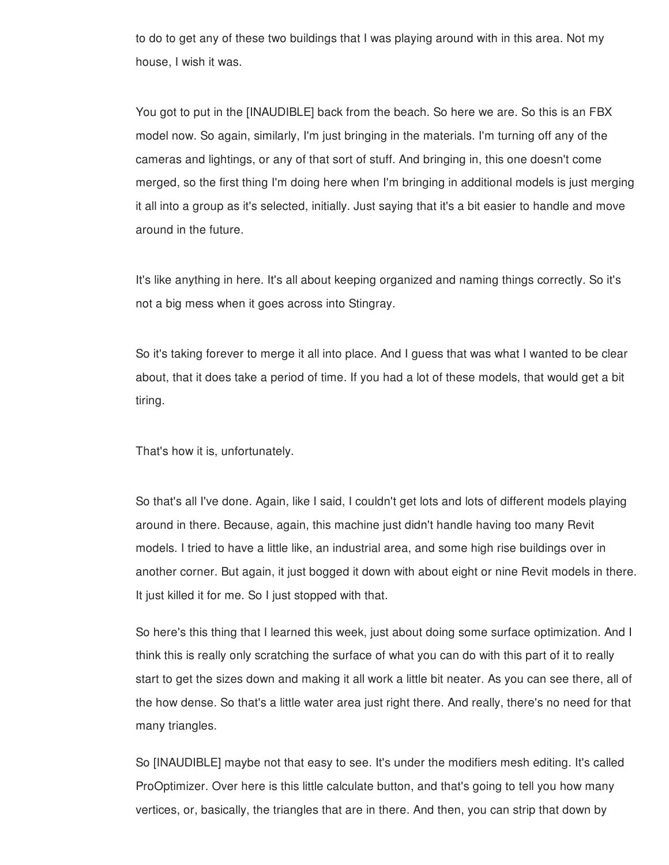to do to get any of these two buildings that I was playing around with in this area. Not my house, I wish it was.

You got to put in the [INAUDIBLE] back from the beach. So here we are. So this is an FBX model now. So again, similarly, I'm just bringing in the materials. I'm turning off any of the cameras and lightings, or any of that sort of stuff. And bringing in, this one doesn't come merged, so the first thing I'm doing here when I'm bringing in additional models is just merging it all into a group as it's selected, initially. Just saying that it's a bit easier to handle and move around in the future.

It's like anything in here. It's all about keeping organized and naming things correctly. So it's not a big mess when it goes across into Stingray.

So it's taking forever to merge it all into place. And I guess that was what I wanted to be clear about, that it does take a period of time. If you had a lot of these models, that would get a bit tiring.

That's how it is, unfortunately.

So that's all I've done. Again, like I said, I couldn't get lots and lots of different models playing around in there. Because, again, this machine just didn't handle having too many Revit models. I tried to have a little like, an industrial area, and some high rise buildings over in another corner. But again, it just bogged it down with about eight or nine Revit models in there. It just killed it for me. So I just stopped with that.

So here's this thing that I learned this week, just about doing some surface optimization. And I think this is really only scratching the surface of what you can do with this part of it to really start to get the sizes down and making it all work a little bit neater. As you can see there, all of the how dense. So that's a little water area just right there. And really, there's no need for that many triangles.

So [INAUDIBLE] maybe not that easy to see. It's under the modifiers mesh editing. It's called ProOptimizer. Over here is this little calculate button, and that's going to tell you how many vertices, or, basically, the triangles that are in there. And then, you can strip that down by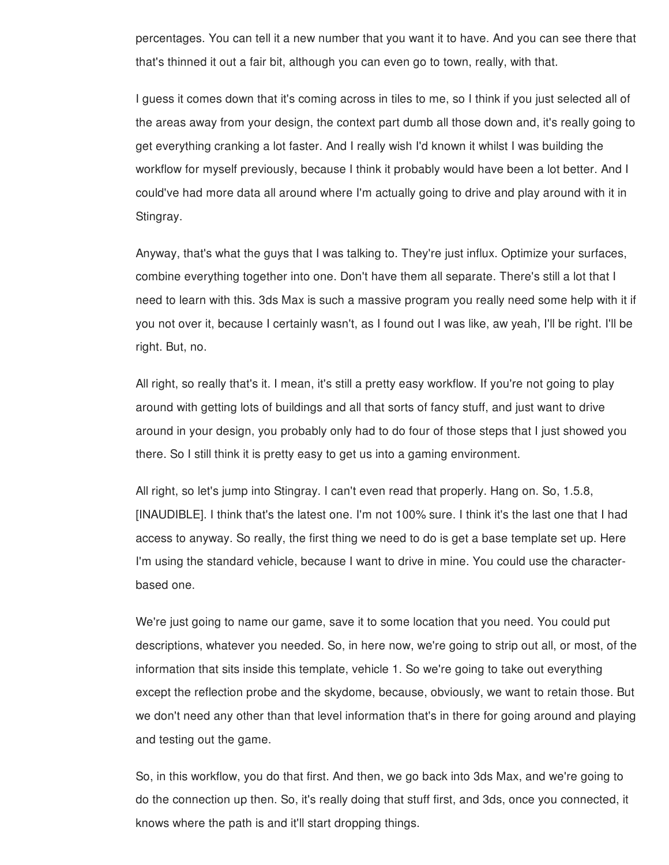percentages. You can tell it a new number that you want it to have. And you can see there that that's thinned it out a fair bit, although you can even go to town, really, with that.

I guess it comes down that it's coming across in tiles to me, so I think if you just selected all of the areas away from your design, the context part dumb all those down and, it's really going to get everything cranking a lot faster. And I really wish I'd known it whilst I was building the workflow for myself previously, because I think it probably would have been a lot better. And I could've had more data all around where I'm actually going to drive and play around with it in Stingray.

Anyway, that's what the guys that I was talking to. They're just influx. Optimize your surfaces, combine everything together into one. Don't have them all separate. There's still a lot that I need to learn with this. 3ds Max is such a massive program you really need some help with it if you not over it, because I certainly wasn't, as I found out I was like, aw yeah, I'll be right. I'll be right. But, no.

All right, so really that's it. I mean, it's still a pretty easy workflow. If you're not going to play around with getting lots of buildings and all that sorts of fancy stuff, and just want to drive around in your design, you probably only had to do four of those steps that I just showed you there. So I still think it is pretty easy to get us into a gaming environment.

All right, so let's jump into Stingray. I can't even read that properly. Hang on. So, 1.5.8, [INAUDIBLE]. I think that's the latest one. I'm not 100% sure. I think it's the last one that I had access to anyway. So really, the first thing we need to do is get a base template set up. Here I'm using the standard vehicle, because I want to drive in mine. You could use the characterbased one.

We're just going to name our game, save it to some location that you need. You could put descriptions, whatever you needed. So, in here now, we're going to strip out all, or most, of the information that sits inside this template, vehicle 1. So we're going to take out everything except the reflection probe and the skydome, because, obviously, we want to retain those. But we don't need any other than that level information that's in there for going around and playing and testing out the game.

So, in this workflow, you do that first. And then, we go back into 3ds Max, and we're going to do the connection up then. So, it's really doing that stuff first, and 3ds, once you connected, it knows where the path is and it'll start dropping things.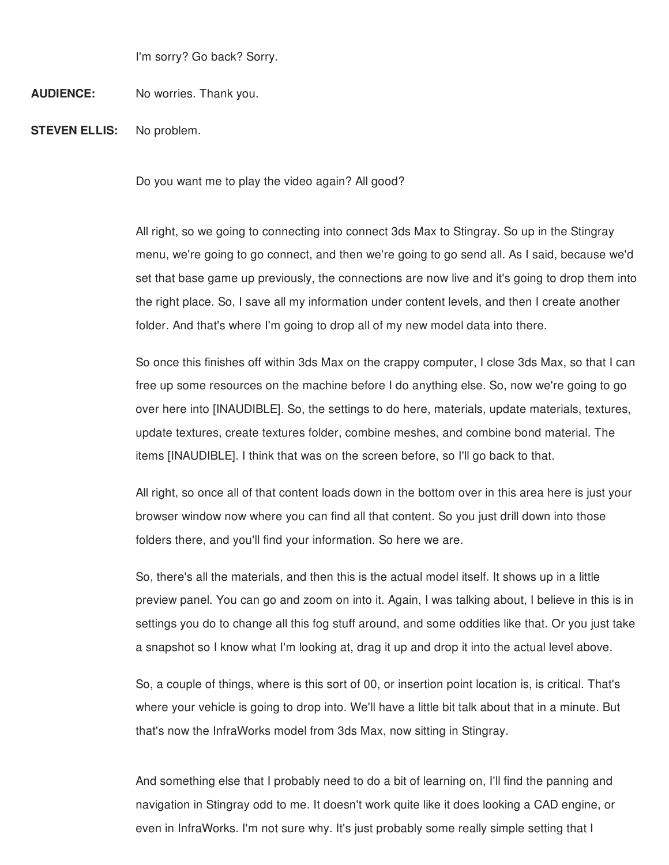I'm sorry? Go back? Sorry.

## **AUDIENCE:** No worries. Thank you.

**STEVEN ELLIS:** No problem.

Do you want me to play the video again? All good?

All right, so we going to connecting into connect 3ds Max to Stingray. So up in the Stingray menu, we're going to go connect, and then we're going to go send all. As I said, because we'd set that base game up previously, the connections are now live and it's going to drop them into the right place. So, I save all my information under content levels, and then I create another folder. And that's where I'm going to drop all of my new model data into there.

So once this finishes off within 3ds Max on the crappy computer, I close 3ds Max, so that I can free up some resources on the machine before I do anything else. So, now we're going to go over here into [INAUDIBLE]. So, the settings to do here, materials, update materials, textures, update textures, create textures folder, combine meshes, and combine bond material. The items [INAUDIBLE]. I think that was on the screen before, so I'll go back to that.

All right, so once all of that content loads down in the bottom over in this area here is just your browser window now where you can find all that content. So you just drill down into those folders there, and you'll find your information. So here we are.

So, there's all the materials, and then this is the actual model itself. It shows up in a little preview panel. You can go and zoom on into it. Again, I was talking about, I believe in this is in settings you do to change all this fog stuff around, and some oddities like that. Or you just take a snapshot so I know what I'm looking at, drag it up and drop it into the actual level above.

So, a couple of things, where is this sort of 00, or insertion point location is, is critical. That's where your vehicle is going to drop into. We'll have a little bit talk about that in a minute. But that's now the InfraWorks model from 3ds Max, now sitting in Stingray.

And something else that I probably need to do a bit of learning on, I'll find the panning and navigation in Stingray odd to me. It doesn't work quite like it does looking a CAD engine, or even in InfraWorks. I'm not sure why. It's just probably some really simple setting that I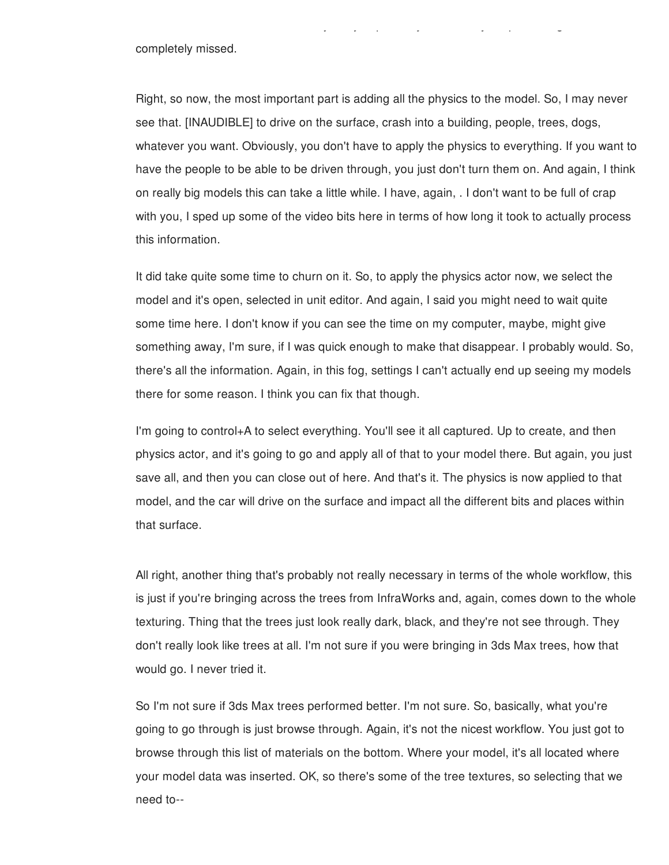completely missed.

Right, so now, the most important part is adding all the physics to the model. So, I may never see that. [INAUDIBLE] to drive on the surface, crash into a building, people, trees, dogs, whatever you want. Obviously, you don't have to apply the physics to everything. If you want to have the people to be able to be driven through, you just don't turn them on. And again, I think on really big models this can take a little while. I have, again, . I don't want to be full of crap with you, I sped up some of the video bits here in terms of how long it took to actually process this information.

even in InfraWorks. I'm not sure why. It's just probably some really simple setting that I

It did take quite some time to churn on it. So, to apply the physics actor now, we select the model and it's open, selected in unit editor. And again, I said you might need to wait quite some time here. I don't know if you can see the time on my computer, maybe, might give something away, I'm sure, if I was quick enough to make that disappear. I probably would. So, there's all the information. Again, in this fog, settings I can't actually end up seeing my models there for some reason. I think you can fix that though.

I'm going to control+A to select everything. You'll see it all captured. Up to create, and then physics actor, and it's going to go and apply all of that to your model there. But again, you just save all, and then you can close out of here. And that's it. The physics is now applied to that model, and the car will drive on the surface and impact all the different bits and places within that surface.

All right, another thing that's probably not really necessary in terms of the whole workflow, this is just if you're bringing across the trees from InfraWorks and, again, comes down to the whole texturing. Thing that the trees just look really dark, black, and they're not see through. They don't really look like trees at all. I'm not sure if you were bringing in 3ds Max trees, how that would go. I never tried it.

So I'm not sure if 3ds Max trees performed better. I'm not sure. So, basically, what you're going to go through is just browse through. Again, it's not the nicest workflow. You just got to browse through this list of materials on the bottom. Where your model, it's all located where your model data was inserted. OK, so there's some of the tree textures, so selecting that we need to--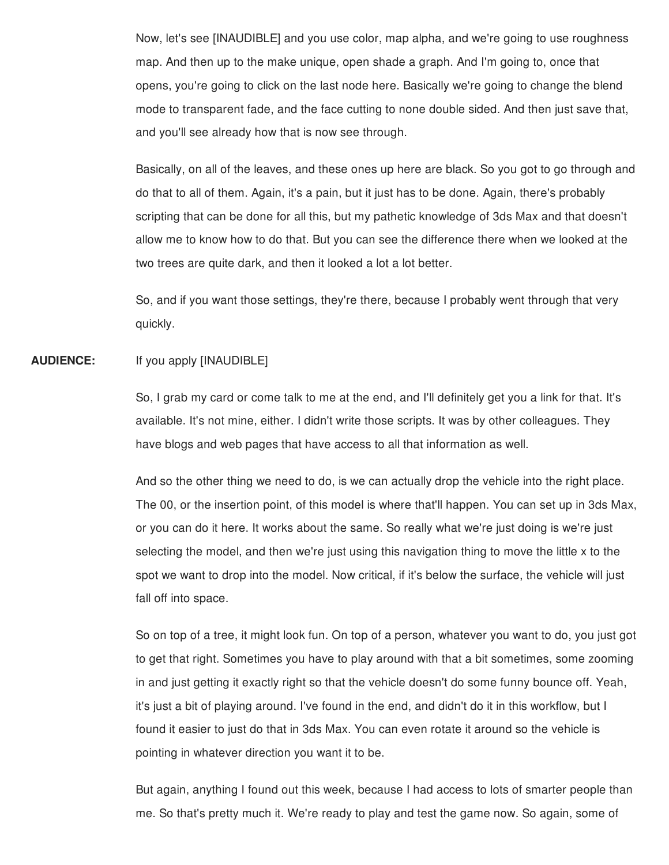Now, let's see [INAUDIBLE] and you use color, map alpha, and we're going to use roughness map. And then up to the make unique, open shade a graph. And I'm going to, once that opens, you're going to click on the last node here. Basically we're going to change the blend mode to transparent fade, and the face cutting to none double sided. And then just save that, and you'll see already how that is now see through.

Basically, on all of the leaves, and these ones up here are black. So you got to go through and do that to all of them. Again, it's a pain, but it just has to be done. Again, there's probably scripting that can be done for all this, but my pathetic knowledge of 3ds Max and that doesn't allow me to know how to do that. But you can see the difference there when we looked at the two trees are quite dark, and then it looked a lot a lot better.

So, and if you want those settings, they're there, because I probably went through that very quickly.

## **AUDIENCE:** If you apply [INAUDIBLE]

So, I grab my card or come talk to me at the end, and I'll definitely get you a link for that. It's available. It's not mine, either. I didn't write those scripts. It was by other colleagues. They have blogs and web pages that have access to all that information as well.

And so the other thing we need to do, is we can actually drop the vehicle into the right place. The 00, or the insertion point, of this model is where that'll happen. You can set up in 3ds Max, or you can do it here. It works about the same. So really what we're just doing is we're just selecting the model, and then we're just using this navigation thing to move the little x to the spot we want to drop into the model. Now critical, if it's below the surface, the vehicle will just fall off into space.

So on top of a tree, it might look fun. On top of a person, whatever you want to do, you just got to get that right. Sometimes you have to play around with that a bit sometimes, some zooming in and just getting it exactly right so that the vehicle doesn't do some funny bounce off. Yeah, it's just a bit of playing around. I've found in the end, and didn't do it in this workflow, but I found it easier to just do that in 3ds Max. You can even rotate it around so the vehicle is pointing in whatever direction you want it to be.

But again, anything I found out this week, because I had access to lots of smarter people than me. So that's pretty much it. We're ready to play and test the game now. So again, some of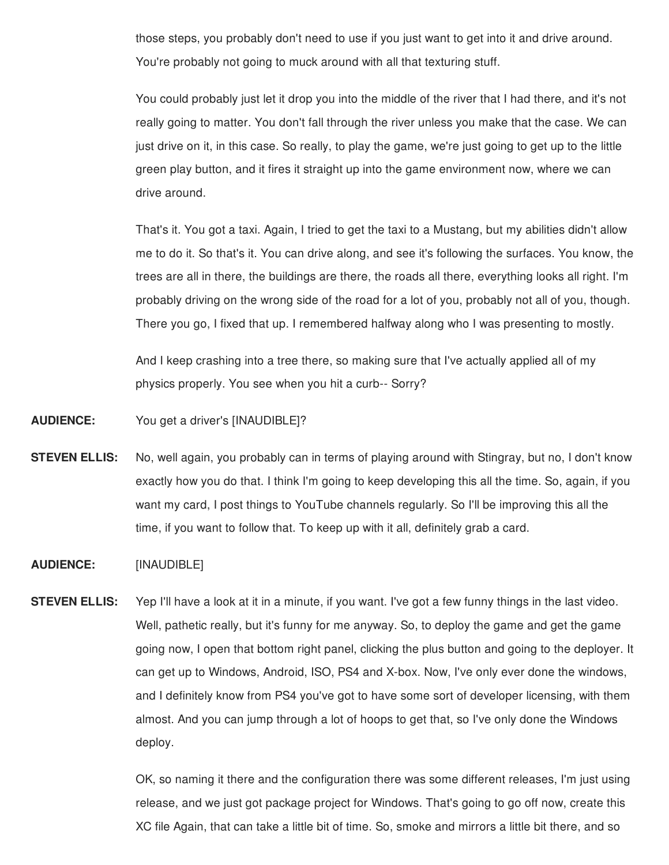those steps, you probably don't need to use if you just want to get into it and drive around. You're probably not going to muck around with all that texturing stuff.

You could probably just let it drop you into the middle of the river that I had there, and it's not really going to matter. You don't fall through the river unless you make that the case. We can just drive on it, in this case. So really, to play the game, we're just going to get up to the little green play button, and it fires it straight up into the game environment now, where we can drive around.

That's it. You got a taxi. Again, I tried to get the taxi to a Mustang, but my abilities didn't allow me to do it. So that's it. You can drive along, and see it's following the surfaces. You know, the trees are all in there, the buildings are there, the roads all there, everything looks all right. I'm probably driving on the wrong side of the road for a lot of you, probably not all of you, though. There you go, I fixed that up. I remembered halfway along who I was presenting to mostly.

And I keep crashing into a tree there, so making sure that I've actually applied all of my physics properly. You see when you hit a curb-- Sorry?

- **AUDIENCE:** You get a driver's [INAUDIBLE]?
- **STEVEN ELLIS:** No, well again, you probably can in terms of playing around with Stingray, but no, I don't know exactly how you do that. I think I'm going to keep developing this all the time. So, again, if you want my card, I post things to YouTube channels regularly. So I'll be improving this all the time, if you want to follow that. To keep up with it all, definitely grab a card.
- **AUDIENCE:** [INAUDIBLE]
- **STEVEN ELLIS:** Yep I'll have a look at it in a minute, if you want. I've got a few funny things in the last video. Well, pathetic really, but it's funny for me anyway. So, to deploy the game and get the game going now, I open that bottom right panel, clicking the plus button and going to the deployer. It can get up to Windows, Android, ISO, PS4 and X-box. Now, I've only ever done the windows, and I definitely know from PS4 you've got to have some sort of developer licensing, with them almost. And you can jump through a lot of hoops to get that, so I've only done the Windows deploy.

OK, so naming it there and the configuration there was some different releases, I'm just using release, and we just got package project for Windows. That's going to go off now, create this XC file Again, that can take a little bit of time. So, smoke and mirrors a little bit there, and so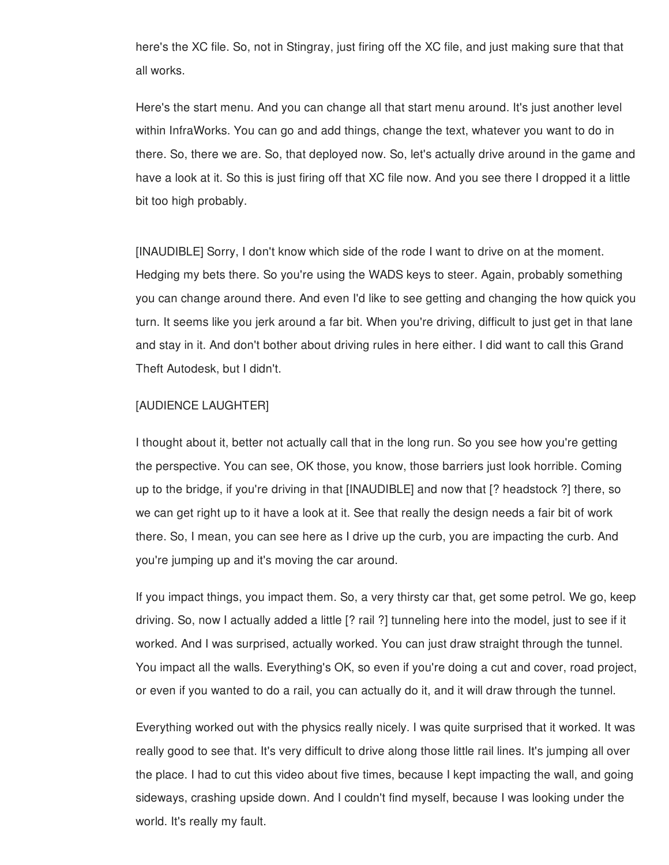here's the XC file. So, not in Stingray, just firing off the XC file, and just making sure that that all works.

Here's the start menu. And you can change all that start menu around. It's just another level within InfraWorks. You can go and add things, change the text, whatever you want to do in there. So, there we are. So, that deployed now. So, let's actually drive around in the game and have a look at it. So this is just firing off that XC file now. And you see there I dropped it a little bit too high probably.

[INAUDIBLE] Sorry, I don't know which side of the rode I want to drive on at the moment. Hedging my bets there. So you're using the WADS keys to steer. Again, probably something you can change around there. And even I'd like to see getting and changing the how quick you turn. It seems like you jerk around a far bit. When you're driving, difficult to just get in that lane and stay in it. And don't bother about driving rules in here either. I did want to call this Grand Theft Autodesk, but I didn't.

## [AUDIENCE LAUGHTER]

I thought about it, better not actually call that in the long run. So you see how you're getting the perspective. You can see, OK those, you know, those barriers just look horrible. Coming up to the bridge, if you're driving in that [INAUDIBLE] and now that [? headstock ?] there, so we can get right up to it have a look at it. See that really the design needs a fair bit of work there. So, I mean, you can see here as I drive up the curb, you are impacting the curb. And you're jumping up and it's moving the car around.

If you impact things, you impact them. So, a very thirsty car that, get some petrol. We go, keep driving. So, now I actually added a little [? rail ?] tunneling here into the model, just to see if it worked. And I was surprised, actually worked. You can just draw straight through the tunnel. You impact all the walls. Everything's OK, so even if you're doing a cut and cover, road project, or even if you wanted to do a rail, you can actually do it, and it will draw through the tunnel.

Everything worked out with the physics really nicely. I was quite surprised that it worked. It was really good to see that. It's very difficult to drive along those little rail lines. It's jumping all over the place. I had to cut this video about five times, because I kept impacting the wall, and going sideways, crashing upside down. And I couldn't find myself, because I was looking under the world. It's really my fault.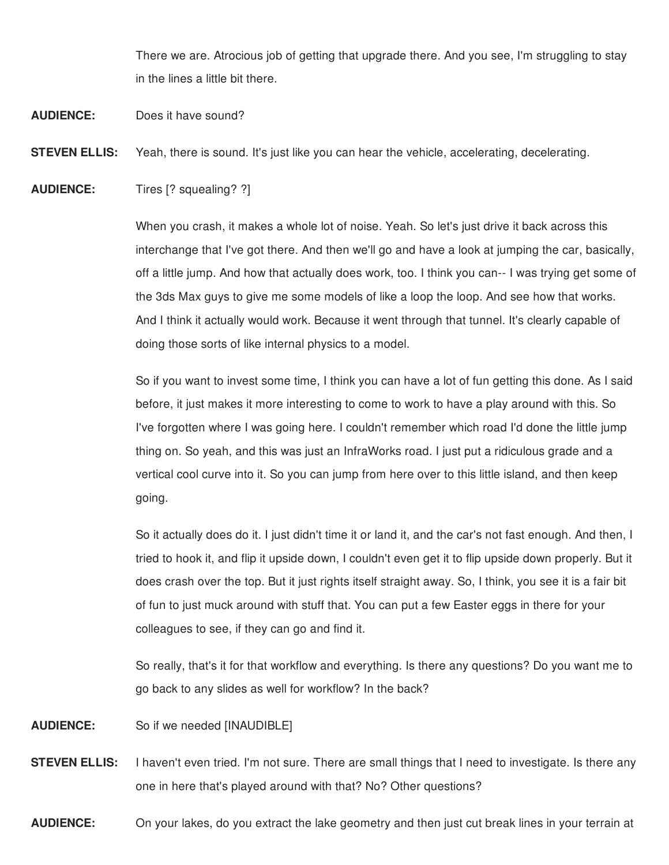There we are. Atrocious job of getting that upgrade there. And you see, I'm struggling to stay in the lines a little bit there.

**AUDIENCE:** Does it have sound?

**STEVEN ELLIS:** Yeah, there is sound. It's just like you can hear the vehicle, accelerating, decelerating.

**AUDIENCE:** Tires [? squealing? ?]

When you crash, it makes a whole lot of noise. Yeah. So let's just drive it back across this interchange that I've got there. And then we'll go and have a look at jumping the car, basically, off a little jump. And how that actually does work, too. I think you can-- I was trying get some of the 3ds Max guys to give me some models of like a loop the loop. And see how that works. And I think it actually would work. Because it went through that tunnel. It's clearly capable of doing those sorts of like internal physics to a model.

So if you want to invest some time, I think you can have a lot of fun getting this done. As I said before, it just makes it more interesting to come to work to have a play around with this. So I've forgotten where I was going here. I couldn't remember which road I'd done the little jump thing on. So yeah, and this was just an InfraWorks road. I just put a ridiculous grade and a vertical cool curve into it. So you can jump from here over to this little island, and then keep going.

So it actually does do it. I just didn't time it or land it, and the car's not fast enough. And then, I tried to hook it, and flip it upside down, I couldn't even get it to flip upside down properly. But it does crash over the top. But it just rights itself straight away. So, I think, you see it is a fair bit of fun to just muck around with stuff that. You can put a few Easter eggs in there for your colleagues to see, if they can go and find it.

So really, that's it for that workflow and everything. Is there any questions? Do you want me to go back to any slides as well for workflow? In the back?

**AUDIENCE:** So if we needed [INAUDIBLE]

**STEVEN ELLIS:** I haven't even tried. I'm not sure. There are small things that I need to investigate. Is there any one in here that's played around with that? No? Other questions?

**AUDIENCE:** On your lakes, do you extract the lake geometry and then just cut break lines in your terrain at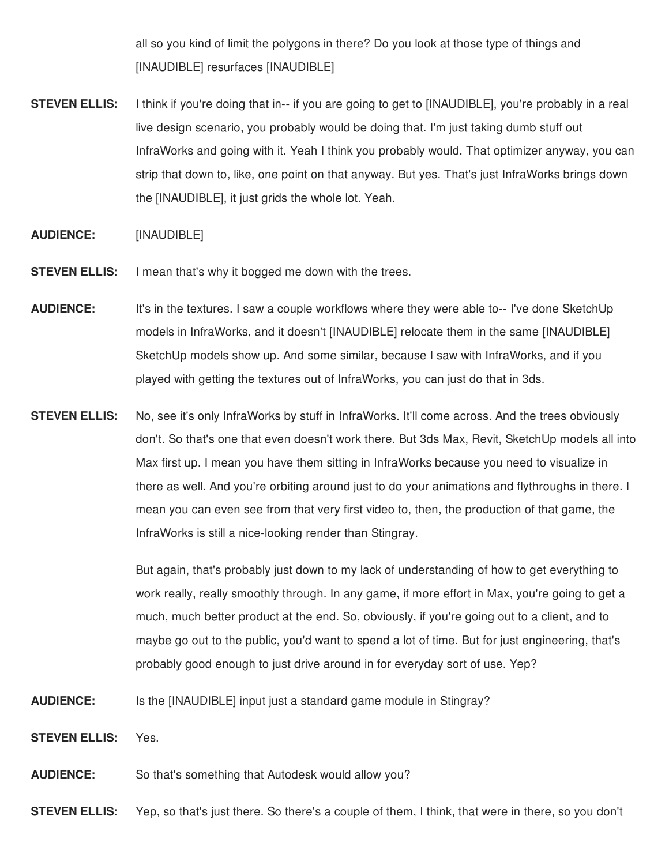all so you kind of limit the polygons in there? Do you look at those type of things and [INAUDIBLE] resurfaces [INAUDIBLE]

**STEVEN ELLIS:** I think if you're doing that in-- if you are going to get to [INAUDIBLE], you're probably in a real live design scenario, you probably would be doing that. I'm just taking dumb stuff out InfraWorks and going with it. Yeah I think you probably would. That optimizer anyway, you can strip that down to, like, one point on that anyway. But yes. That's just InfraWorks brings down the [INAUDIBLE], it just grids the whole lot. Yeah.

## **AUDIENCE:** [INAUDIBLE]

- **STEVEN ELLIS:** I mean that's why it bogged me down with the trees.
- **AUDIENCE:** It's in the textures. I saw a couple workflows where they were able to-- I've done SketchUp models in InfraWorks, and it doesn't [INAUDIBLE] relocate them in the same [INAUDIBLE] SketchUp models show up. And some similar, because I saw with InfraWorks, and if you played with getting the textures out of InfraWorks, you can just do that in 3ds.
- **STEVEN ELLIS:** No, see it's only InfraWorks by stuff in InfraWorks. It'll come across. And the trees obviously don't. So that's one that even doesn't work there. But 3ds Max, Revit, SketchUp models all into Max first up. I mean you have them sitting in InfraWorks because you need to visualize in there as well. And you're orbiting around just to do your animations and flythroughs in there. I mean you can even see from that very first video to, then, the production of that game, the InfraWorks is still a nice-looking render than Stingray.

But again, that's probably just down to my lack of understanding of how to get everything to work really, really smoothly through. In any game, if more effort in Max, you're going to get a much, much better product at the end. So, obviously, if you're going out to a client, and to maybe go out to the public, you'd want to spend a lot of time. But for just engineering, that's probably good enough to just drive around in for everyday sort of use. Yep?

**AUDIENCE:** Is the [INAUDIBLE] input just a standard game module in Stingray?

**STEVEN ELLIS:** Yes.

**AUDIENCE:** So that's something that Autodesk would allow you?

**STEVEN ELLIS:** Yep, so that's just there. So there's a couple of them, I think, that were in there, so you don't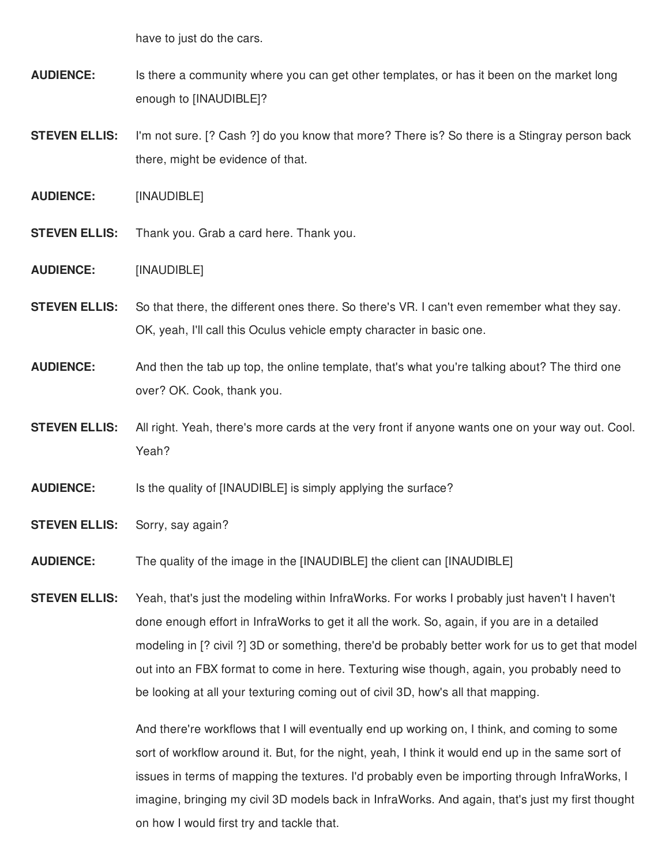have to just do the cars.

- **AUDIENCE:** Is there a community where you can get other templates, or has it been on the market long enough to [INAUDIBLE]?
- **STEVEN ELLIS:** I'm not sure. [? Cash ?] do you know that more? There is? So there is a Stingray person back there, might be evidence of that.
- **AUDIENCE:** [INAUDIBLE]
- **STEVEN ELLIS:** Thank you. Grab a card here. Thank you.
- **AUDIENCE:** [INAUDIBLE]
- **STEVEN ELLIS:** So that there, the different ones there. So there's VR. I can't even remember what they say. OK, yeah, I'll call this Oculus vehicle empty character in basic one.
- **AUDIENCE:** And then the tab up top, the online template, that's what you're talking about? The third one over? OK. Cook, thank you.
- **STEVEN ELLIS:** All right. Yeah, there's more cards at the very front if anyone wants one on your way out. Cool. Yeah?
- **AUDIENCE:** Is the quality of [INAUDIBLE] is simply applying the surface?
- **STEVEN ELLIS:** Sorry, say again?
- **AUDIENCE:** The quality of the image in the [INAUDIBLE] the client can [INAUDIBLE]

**STEVEN ELLIS:** Yeah, that's just the modeling within InfraWorks. For works I probably just haven't I haven't done enough effort in InfraWorks to get it all the work. So, again, if you are in a detailed modeling in [? civil ?] 3D or something, there'd be probably better work for us to get that model out into an FBX format to come in here. Texturing wise though, again, you probably need to be looking at all your texturing coming out of civil 3D, how's all that mapping.

> And there're workflows that I will eventually end up working on, I think, and coming to some sort of workflow around it. But, for the night, yeah, I think it would end up in the same sort of issues in terms of mapping the textures. I'd probably even be importing through InfraWorks, I imagine, bringing my civil 3D models back in InfraWorks. And again, that's just my first thought on how I would first try and tackle that.